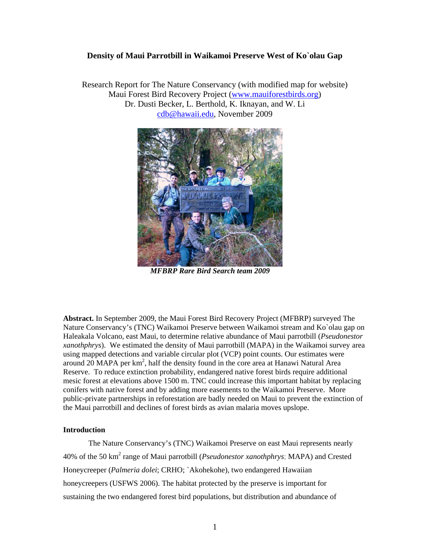## **Density of Maui Parrotbill in Waikamoi Preserve West of Ko`olau Gap**

Research Report for The Nature Conservancy (with modified map for website) Maui Forest Bird Recovery Project [\(www.mauiforestbirds.org](http://www.mauiforestbirds.org/)) Dr. Dusti Becker, L. Berthold, K. Iknayan, and W. Li [cdb@hawaii.edu,](mailto:cdb@hawaii.edu) November 2009



*MFBRP Rare Bird Search team 2009* 

**Abstract.** In September 2009, the Maui Forest Bird Recovery Project (MFBRP) surveyed The Nature Conservancy's (TNC) Waikamoi Preserve between Waikamoi stream and Ko`olau gap on Haleakala Volcano, east Maui, to determine relative abundance of Maui parrotbill (*Pseudonestor xanothphrys*). We estimated the density of Maui parrotbill (MAPA) in the Waikamoi survey area using mapped detections and variable circular plot (VCP) point counts. Our estimates were around  $20$  MAPA per  $km^2$ , half the density found in the core area at Hanawi Natural Area Reserve. To reduce extinction probability, endangered native forest birds require additional mesic forest at elevations above 1500 m. TNC could increase this important habitat by replacing conifers with native forest and by adding more easements to the Waikamoi Preserve. More public-private partnerships in reforestation are badly needed on Maui to prevent the extinction of the Maui parrotbill and declines of forest birds as avian malaria moves upslope.

# **Introduction**

The Nature Conservancy's (TNC) Waikamoi Preserve on east Maui represents nearly 40% of the 50 km<sup>2</sup> range of Maui parrotbill (*Pseudonestor xanothphrys*; MAPA) and Crested Honeycreeper (*Palmeria dolei*; CRHO; `Akohekohe), two endangered Hawaiian honeycreepers (USFWS 2006). The habitat protected by the preserve is important for sustaining the two endangered forest bird populations, but distribution and abundance of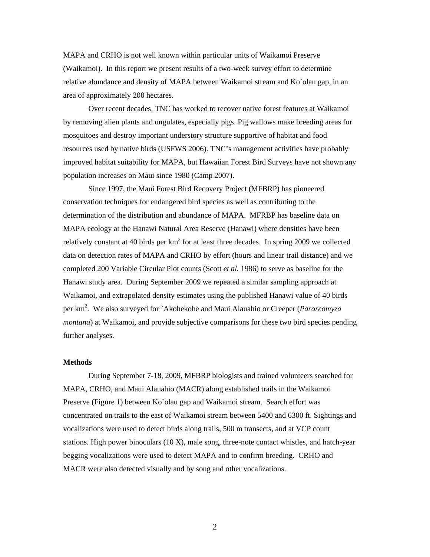MAPA and CRHO is not well known within particular units of Waikamoi Preserve (Waikamoi). In this report we present results of a two-week survey effort to determine relative abundance and density of MAPA between Waikamoi stream and Ko`olau gap, in an area of approximately 200 hectares.

Over recent decades, TNC has worked to recover native forest features at Waikamoi by removing alien plants and ungulates, especially pigs. Pig wallows make breeding areas for mosquitoes and destroy important understory structure supportive of habitat and food resources used by native birds (USFWS 2006). TNC's management activities have probably improved habitat suitability for MAPA, but Hawaiian Forest Bird Surveys have not shown any population increases on Maui since 1980 (Camp 2007).

Since 1997, the Maui Forest Bird Recovery Project (MFBRP) has pioneered conservation techniques for endangered bird species as well as contributing to the determination of the distribution and abundance of MAPA. MFRBP has baseline data on MAPA ecology at the Hanawi Natural Area Reserve (Hanawi) where densities have been relatively constant at 40 birds per  $km^2$  for at least three decades. In spring 2009 we collected data on detection rates of MAPA and CRHO by effort (hours and linear trail distance) and we completed 200 Variable Circular Plot counts (Scott *et al.* 1986) to serve as baseline for the Hanawi study area. During September 2009 we repeated a similar sampling approach at Waikamoi, and extrapolated density estimates using the published Hanawi value of 40 birds per km2 . We also surveyed for `Akohekohe and Maui Alauahio or Creeper (*Paroreomyza montana*) at Waikamoi, and provide subjective comparisons for these two bird species pending further analyses.

#### **Methods**

During September 7-18, 2009, MFBRP biologists and trained volunteers searched for MAPA, CRHO, and Maui Alauahio (MACR) along established trails in the Waikamoi Preserve (Figure 1) between Ko`olau gap and Waikamoi stream. Search effort was concentrated on trails to the east of Waikamoi stream between 5400 and 6300 ft. Sightings and vocalizations were used to detect birds along trails, 500 m transects, and at VCP count stations. High power binoculars  $(10 X)$ , male song, three-note contact whistles, and hatch-year begging vocalizations were used to detect MAPA and to confirm breeding. CRHO and MACR were also detected visually and by song and other vocalizations.

2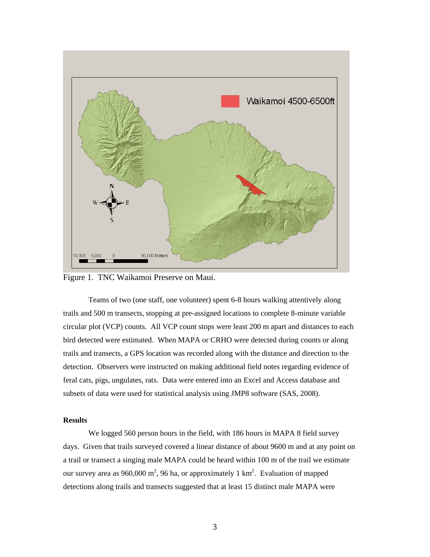

Figure 1. TNC Waikamoi Preserve on Maui.

Teams of two (one staff, one volunteer) spent 6-8 hours walking attentively along trails and 500 m transects, stopping at pre-assigned locations to complete 8-minute variable circular plot (VCP) counts. All VCP count stops were least 200 m apart and distances to each bird detected were estimated. When MAPA or CRHO were detected during counts or along trails and transects, a GPS location was recorded along with the distance and direction to the detection. Observers were instructed on making additional field notes regarding evidence of feral cats, pigs, ungulates, rats. Data were entered into an Excel and Access database and subsets of data were used for statistical analysis using JMP8 software (SAS, 2008).

### **Results**

We logged 560 person hours in the field, with 186 hours in MAPA 8 field survey days. Given that trails surveyed covered a linear distance of about 9600 m and at any point on a trail or transect a singing male MAPA could be heard within 100 m of the trail we estimate our survey area as 960,000 m<sup>2</sup>, 96 ha, or approximately 1 km<sup>2</sup>. Evaluation of mapped detections along trails and transects suggested that at least 15 distinct male MAPA were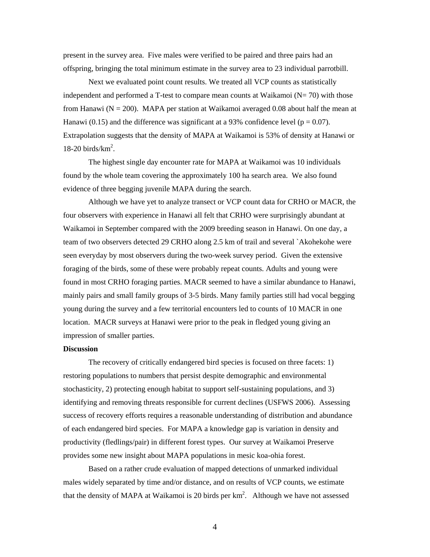present in the survey area. Five males were verified to be paired and three pairs had an offspring, bringing the total minimum estimate in the survey area to 23 individual parrotbill.

Next we evaluated point count results. We treated all VCP counts as statistically independent and performed a T-test to compare mean counts at Waikamoi  $(N= 70)$  with those from Hanawi ( $N = 200$ ). MAPA per station at Waikamoi averaged 0.08 about half the mean at Hanawi (0.15) and the difference was significant at a 93% confidence level ( $p = 0.07$ ). Extrapolation suggests that the density of MAPA at Waikamoi is 53% of density at Hanawi or  $18-20$  birds/km<sup>2</sup>.

The highest single day encounter rate for MAPA at Waikamoi was 10 individuals found by the whole team covering the approximately 100 ha search area. We also found evidence of three begging juvenile MAPA during the search.

 Although we have yet to analyze transect or VCP count data for CRHO or MACR, the four observers with experience in Hanawi all felt that CRHO were surprisingly abundant at Waikamoi in September compared with the 2009 breeding season in Hanawi. On one day, a team of two observers detected 29 CRHO along 2.5 km of trail and several `Akohekohe were seen everyday by most observers during the two-week survey period. Given the extensive foraging of the birds, some of these were probably repeat counts. Adults and young were found in most CRHO foraging parties. MACR seemed to have a similar abundance to Hanawi, mainly pairs and small family groups of 3-5 birds. Many family parties still had vocal begging young during the survey and a few territorial encounters led to counts of 10 MACR in one location. MACR surveys at Hanawi were prior to the peak in fledged young giving an impression of smaller parties.

#### **Discussion**

The recovery of critically endangered bird species is focused on three facets: 1) restoring populations to numbers that persist despite demographic and environmental stochasticity, 2) protecting enough habitat to support self-sustaining populations, and 3) identifying and removing threats responsible for current declines (USFWS 2006). Assessing success of recovery efforts requires a reasonable understanding of distribution and abundance of each endangered bird species. For MAPA a knowledge gap is variation in density and productivity (fledlings/pair) in different forest types. Our survey at Waikamoi Preserve provides some new insight about MAPA populations in mesic koa-ohia forest.

Based on a rather crude evaluation of mapped detections of unmarked individual males widely separated by time and/or distance, and on results of VCP counts, we estimate that the density of MAPA at Waikamoi is 20 birds per  $km<sup>2</sup>$ . Although we have not assessed

4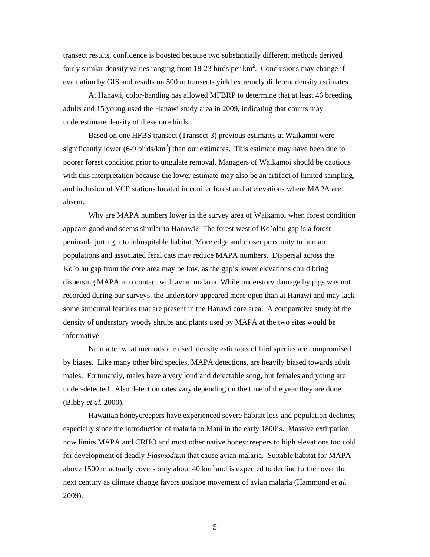transect results, confidence is boosted because two substantially different methods derived fairly similar density values ranging from 18-23 birds per  $km^2$ . Conclusions may change if evaluation by GIS and results on 500 m transects yield extremely different density estimates.

At Hanawi, color-banding has allowed MFBRP to determine that at least 46 breeding adults and 15 young used the Hanawi study area in 2009, indicating that counts may underestimate density of these rare birds.

Based on one HFBS transect (Transect 3) previous estimates at Waikamoi were significantly lower (6-9 birds/ $km^2$ ) than our estimates. This estimate may have been due to poorer forest condition prior to ungulate removal. Managers of Waikamoi should be cautious with this interpretation because the lower estimate may also be an artifact of limited sampling, and inclusion of VCP stations located in conifer forest and at elevations where MAPA are absent.

Why are MAPA numbers lower in the survey area of Waikamoi when forest condition appears good and seems similar to Hanawi? The forest west of Ko`olau gap is a forest peninsula jutting into inhospitable habitat. More edge and closer proximity to human populations and associated feral cats may reduce MAPA numbers. Dispersal across the Ko`olau gap from the core area may be low, as the gap's lower elevations could bring dispersing MAPA into contact with avian malaria. While understory damage by pigs was not recorded during our surveys, the understory appeared more open than at Hanawi and may lack some structural features that are present in the Hanawi core area. A comparative study of the density of understory woody shrubs and plants used by MAPA at the two sites would be informative.

No matter what methods are used, density estimates of bird species are compromised by biases. Like many other bird species, MAPA detections, are heavily biased towards adult males. Fortunately, males have a very loud and detectable song, but females and young are under-detected. Also detection rates vary depending on the time of the year they are done (Bibby *et al.* 2000).

Hawaiian honeycreepers have experienced severe habitat loss and population declines, especially since the introduction of malaria to Maui in the early 1800's. Massive extirpation now limits MAPA and CRHO and most other native honeycreepers to high elevations too cold for development of deadly *Plasmodium* that cause avian malaria. Suitable habitat for MAPA above 1500 m actually covers only about 40  $km<sup>2</sup>$  and is expected to decline further over the next century as climate change favors upslope movement of avian malaria (Hammond *et al.* 2009).

5